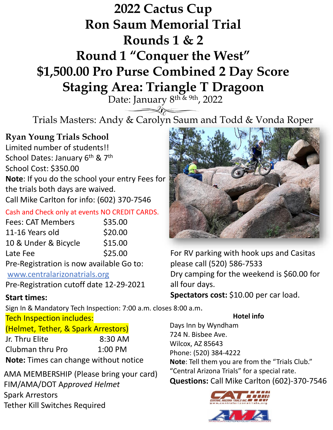## **2022 Cactus Cup Ron Saum Memorial Trial Rounds 1 & 2**

# **Round 1 "Conquer the West" \$1,500.00 Pro Purse Combined 2 Day Score Staging Area: Triangle T Dragoon**

Date: January 8<sup>th & 9th</sup>, 2022

Trials Masters: Andy & Carolyn Saum and Todd & Vonda Roper

## **Ryan Young Trials School**

Limited number of students!! School Dates: January 6<sup>th</sup> & 7<sup>th</sup> School Cost: \$350.00 **Note**: If you do the school your entry Fees for the trials both days are waived. Call Mike Carlton for info: (602) 370-7546

#### Cash and Check only at events NO CREDIT CARDS.

| <b>Fees: CAT Members</b>                                                                                                                                                                                                                                                                                                                  | \$35.00 |
|-------------------------------------------------------------------------------------------------------------------------------------------------------------------------------------------------------------------------------------------------------------------------------------------------------------------------------------------|---------|
| 11-16 Years old                                                                                                                                                                                                                                                                                                                           | \$20.00 |
| 10 & Under & Bicycle                                                                                                                                                                                                                                                                                                                      | \$15.00 |
| Late Fee                                                                                                                                                                                                                                                                                                                                  | \$25.00 |
| $D_{\text{K}}$ $D_{\text{G}}$ $D_{\text{G}}$ $D_{\text{G}}$ $D_{\text{G}}$ $D_{\text{G}}$ $D_{\text{G}}$ $D_{\text{G}}$ $D_{\text{G}}$ $D_{\text{G}}$ $D_{\text{G}}$ $D_{\text{G}}$ $D_{\text{G}}$ $D_{\text{G}}$ $D_{\text{G}}$ $D_{\text{G}}$ $D_{\text{G}}$ $D_{\text{G}}$ $D_{\text{G}}$ $D_{\text{G}}$ $D_{\text{G}}$ $D_{\text{G}}$ |         |

Pre-Registration is now available Go to: www.centralarizonatrials.org

Pre-Registration cutoff date 12-29-2021

### **Start times:**

Sign In & Mandatory Tech Inspection: 7:00 a.m. closes 8:00 a.m.

Tech Inspection includes:

(Helmet, Tether, & Spark Arrestors) Jr. Thru Elite 8:30 AM Clubman thru Pro 1:00 PM **Note:** Times can change without notice

AMA MEMBERSHIP (Please bring your card) FIM/AMA/DOT A*pproved Helmet* Spark Arrestors Tether Kill Switches Required



For RV parking with hook ups and Casitas please call (520) 586-7533 Dry camping for the weekend is \$60.00 for all four days.

**Spectators cost:** \$10.00 per car load.

**Hotel info**

Days Inn by Wyndham 724 N. Bisbee Ave. Wilcox, AZ 85643 Phone: (520) 384-4222 **Note**: Tell them you are from the "Trials Club." "Central Arizona Trials" for a special rate. **Questions:** Call Mike Carlton (602)-370-7546